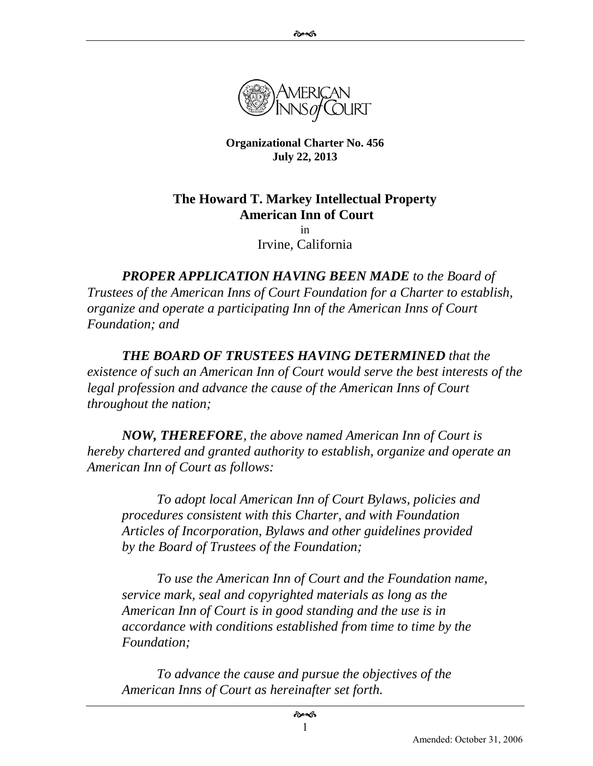

**Organizational Charter No. 456 July 22, 2013**

### **The Howard T. Markey Intellectual Property American Inn of Court**

in Irvine, California

*PROPER APPLICATION HAVING BEEN MADE to the Board of Trustees of the American Inns of Court Foundation for a Charter to establish, organize and operate a participating Inn of the American Inns of Court Foundation; and*

*THE BOARD OF TRUSTEES HAVING DETERMINED that the existence of such an American Inn of Court would serve the best interests of the legal profession and advance the cause of the American Inns of Court throughout the nation;*

*NOW, THEREFORE, the above named American Inn of Court is hereby chartered and granted authority to establish, organize and operate an American Inn of Court as follows:*

*To adopt local American Inn of Court Bylaws, policies and procedures consistent with this Charter, and with Foundation Articles of Incorporation, Bylaws and other guidelines provided by the Board of Trustees of the Foundation;*

*To use the American Inn of Court and the Foundation name, service mark, seal and copyrighted materials as long as the American Inn of Court is in good standing and the use is in accordance with conditions established from time to time by the Foundation;*

*To advance the cause and pursue the objectives of the American Inns of Court as hereinafter set forth.*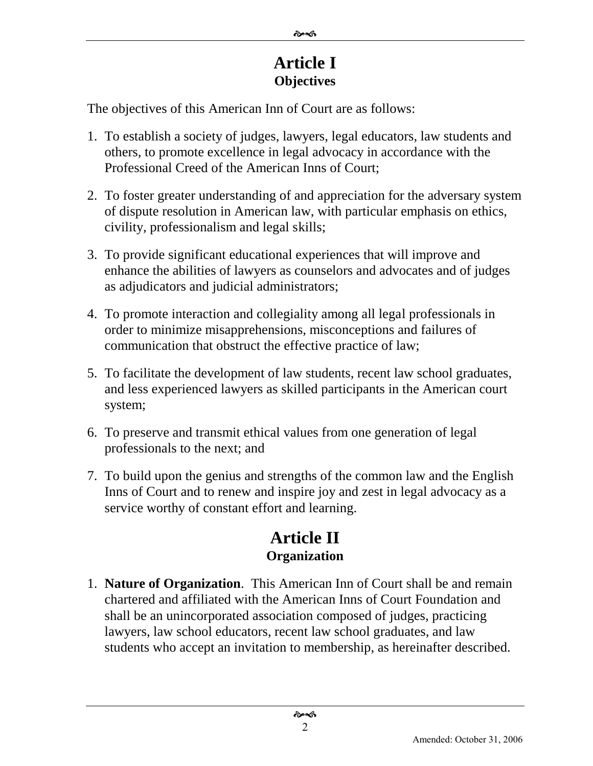## **Article I Objectives**

The objectives of this American Inn of Court are as follows:

- 1. To establish a society of judges, lawyers, legal educators, law students and others, to promote excellence in legal advocacy in accordance with the Professional Creed of the American Inns of Court;
- 2. To foster greater understanding of and appreciation for the adversary system of dispute resolution in American law, with particular emphasis on ethics, civility, professionalism and legal skills;
- 3. To provide significant educational experiences that will improve and enhance the abilities of lawyers as counselors and advocates and of judges as adjudicators and judicial administrators;
- 4. To promote interaction and collegiality among all legal professionals in order to minimize misapprehensions, misconceptions and failures of communication that obstruct the effective practice of law;
- 5. To facilitate the development of law students, recent law school graduates, and less experienced lawyers as skilled participants in the American court system;
- 6. To preserve and transmit ethical values from one generation of legal professionals to the next; and
- 7. To build upon the genius and strengths of the common law and the English Inns of Court and to renew and inspire joy and zest in legal advocacy as a service worthy of constant effort and learning.

# **Article II Organization**

1. **Nature of Organization**. This American Inn of Court shall be and remain chartered and affiliated with the American Inns of Court Foundation and shall be an unincorporated association composed of judges, practicing lawyers, law school educators, recent law school graduates, and law students who accept an invitation to membership, as hereinafter described.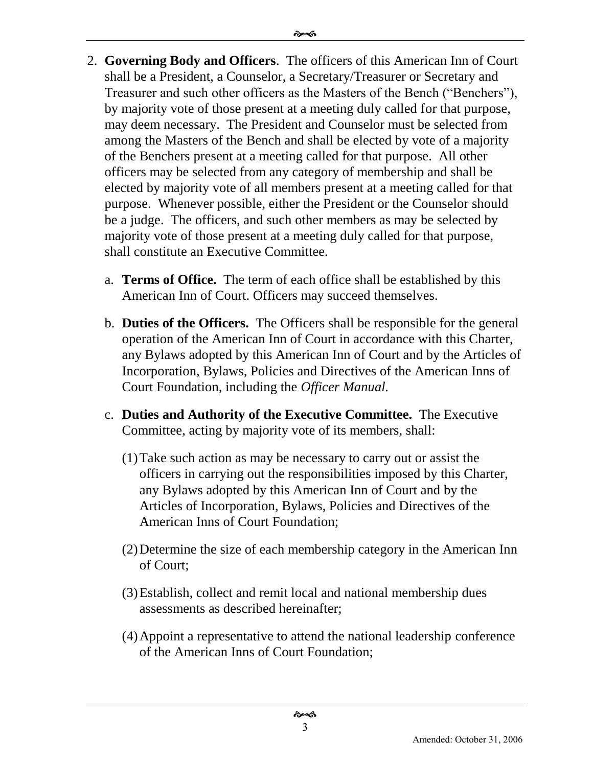- 2. **Governing Body and Officers**. The officers of this American Inn of Court shall be a President, a Counselor, a Secretary/Treasurer or Secretary and Treasurer and such other officers as the Masters of the Bench ("Benchers"), by majority vote of those present at a meeting duly called for that purpose, may deem necessary. The President and Counselor must be selected from among the Masters of the Bench and shall be elected by vote of a majority of the Benchers present at a meeting called for that purpose. All other officers may be selected from any category of membership and shall be elected by majority vote of all members present at a meeting called for that purpose. Whenever possible, either the President or the Counselor should be a judge. The officers, and such other members as may be selected by majority vote of those present at a meeting duly called for that purpose, shall constitute an Executive Committee.
	- a. **Terms of Office.** The term of each office shall be established by this American Inn of Court. Officers may succeed themselves.
	- b. **Duties of the Officers.** The Officers shall be responsible for the general operation of the American Inn of Court in accordance with this Charter, any Bylaws adopted by this American Inn of Court and by the Articles of Incorporation, Bylaws, Policies and Directives of the American Inns of Court Foundation, including the *Officer Manual.*
	- c. **Duties and Authority of the Executive Committee.** The Executive Committee, acting by majority vote of its members, shall:
		- (1)Take such action as may be necessary to carry out or assist the officers in carrying out the responsibilities imposed by this Charter, any Bylaws adopted by this American Inn of Court and by the Articles of Incorporation, Bylaws, Policies and Directives of the American Inns of Court Foundation;
		- (2)Determine the size of each membership category in the American Inn of Court;
		- (3)Establish, collect and remit local and national membership dues assessments as described hereinafter;
		- (4)Appoint a representative to attend the national leadership conference of the American Inns of Court Foundation;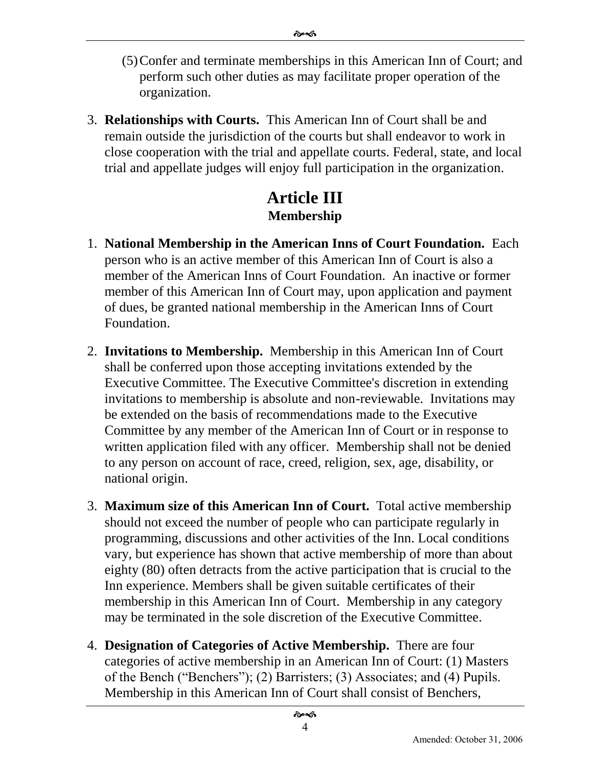- (5)Confer and terminate memberships in this American Inn of Court; and perform such other duties as may facilitate proper operation of the organization.
- 3. **Relationships with Courts.** This American Inn of Court shall be and remain outside the jurisdiction of the courts but shall endeavor to work in close cooperation with the trial and appellate courts. Federal, state, and local trial and appellate judges will enjoy full participation in the organization.

# **Article III Membership**

- 1. **National Membership in the American Inns of Court Foundation.** Each person who is an active member of this American Inn of Court is also a member of the American Inns of Court Foundation. An inactive or former member of this American Inn of Court may, upon application and payment of dues, be granted national membership in the American Inns of Court Foundation.
- 2. **Invitations to Membership.** Membership in this American Inn of Court shall be conferred upon those accepting invitations extended by the Executive Committee. The Executive Committee's discretion in extending invitations to membership is absolute and non-reviewable. Invitations may be extended on the basis of recommendations made to the Executive Committee by any member of the American Inn of Court or in response to written application filed with any officer. Membership shall not be denied to any person on account of race, creed, religion, sex, age, disability, or national origin.
- 3. **Maximum size of this American Inn of Court.** Total active membership should not exceed the number of people who can participate regularly in programming, discussions and other activities of the Inn. Local conditions vary, but experience has shown that active membership of more than about eighty (80) often detracts from the active participation that is crucial to the Inn experience. Members shall be given suitable certificates of their membership in this American Inn of Court. Membership in any category may be terminated in the sole discretion of the Executive Committee.
- 4. **Designation of Categories of Active Membership.** There are four categories of active membership in an American Inn of Court: (1) Masters of the Bench ("Benchers"); (2) Barristers; (3) Associates; and (4) Pupils. Membership in this American Inn of Court shall consist of Benchers,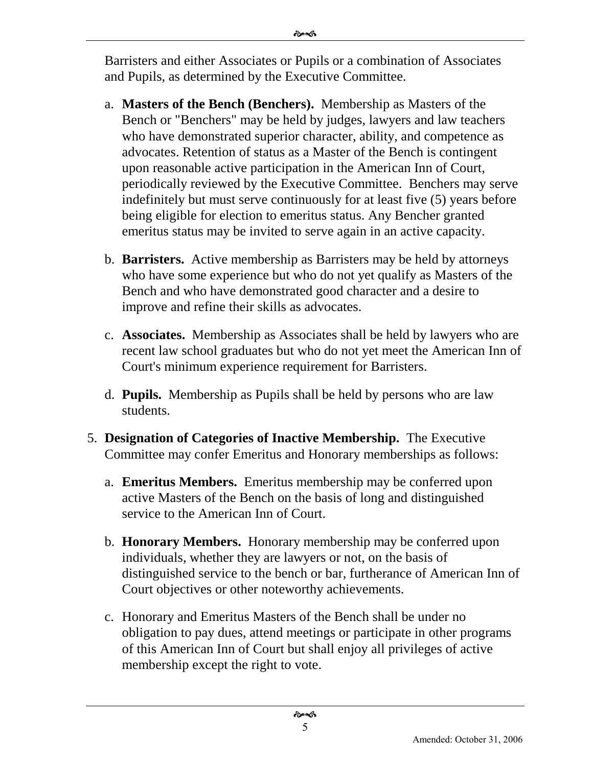Barristers and either Associates or Pupils or a combination of Associates and Pupils, as determined by the Executive Committee.

- a. **Masters of the Bench (Benchers).** Membership as Masters of the Bench or "Benchers" may be held by judges, lawyers and law teachers who have demonstrated superior character, ability, and competence as advocates. Retention of status as a Master of the Bench is contingent upon reasonable active participation in the American Inn of Court, periodically reviewed by the Executive Committee. Benchers may serve indefinitely but must serve continuously for at least five (5) years before being eligible for election to emeritus status. Any Bencher granted emeritus status may be invited to serve again in an active capacity.
- b. **Barristers.** Active membership as Barristers may be held by attorneys who have some experience but who do not yet qualify as Masters of the Bench and who have demonstrated good character and a desire to improve and refine their skills as advocates.
- c. **Associates.** Membership as Associates shall be held by lawyers who are recent law school graduates but who do not yet meet the American Inn of Court's minimum experience requirement for Barristers.
- d. **Pupils.** Membership as Pupils shall be held by persons who are law students.
- 5. **Designation of Categories of Inactive Membership.** The Executive Committee may confer Emeritus and Honorary memberships as follows:
	- a. **Emeritus Members.** Emeritus membership may be conferred upon active Masters of the Bench on the basis of long and distinguished service to the American Inn of Court.
	- b. **Honorary Members.** Honorary membership may be conferred upon individuals, whether they are lawyers or not, on the basis of distinguished service to the bench or bar, furtherance of American Inn of Court objectives or other noteworthy achievements.
	- c. Honorary and Emeritus Masters of the Bench shall be under no obligation to pay dues, attend meetings or participate in other programs of this American Inn of Court but shall enjoy all privileges of active membership except the right to vote.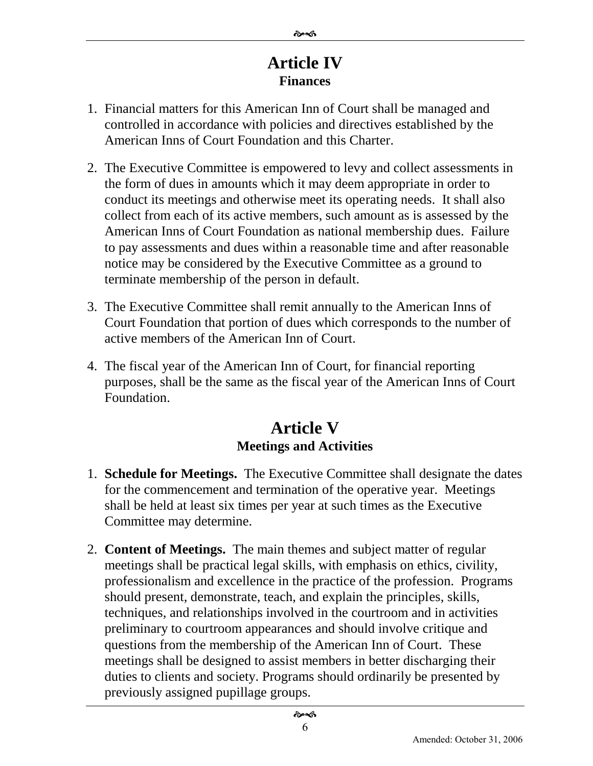## **Article IV Finances**

- 1. Financial matters for this American Inn of Court shall be managed and controlled in accordance with policies and directives established by the American Inns of Court Foundation and this Charter.
- 2. The Executive Committee is empowered to levy and collect assessments in the form of dues in amounts which it may deem appropriate in order to conduct its meetings and otherwise meet its operating needs. It shall also collect from each of its active members, such amount as is assessed by the American Inns of Court Foundation as national membership dues. Failure to pay assessments and dues within a reasonable time and after reasonable notice may be considered by the Executive Committee as a ground to terminate membership of the person in default.
- 3. The Executive Committee shall remit annually to the American Inns of Court Foundation that portion of dues which corresponds to the number of active members of the American Inn of Court.
- 4. The fiscal year of the American Inn of Court, for financial reporting purposes, shall be the same as the fiscal year of the American Inns of Court Foundation.

## **Article V Meetings and Activities**

- 1. **Schedule for Meetings.** The Executive Committee shall designate the dates for the commencement and termination of the operative year. Meetings shall be held at least six times per year at such times as the Executive Committee may determine.
- 2. **Content of Meetings.** The main themes and subject matter of regular meetings shall be practical legal skills, with emphasis on ethics, civility, professionalism and excellence in the practice of the profession. Programs should present, demonstrate, teach, and explain the principles, skills, techniques, and relationships involved in the courtroom and in activities preliminary to courtroom appearances and should involve critique and questions from the membership of the American Inn of Court. These meetings shall be designed to assist members in better discharging their duties to clients and society. Programs should ordinarily be presented by previously assigned pupillage groups.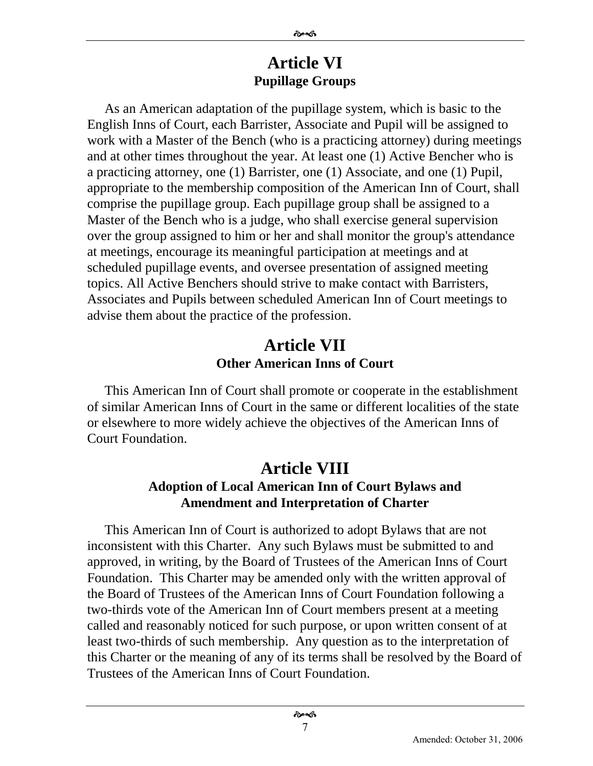#### **Article VI Pupillage Groups**

As an American adaptation of the pupillage system, which is basic to the English Inns of Court, each Barrister, Associate and Pupil will be assigned to work with a Master of the Bench (who is a practicing attorney) during meetings and at other times throughout the year. At least one (1) Active Bencher who is a practicing attorney, one (1) Barrister, one (1) Associate, and one (1) Pupil, appropriate to the membership composition of the American Inn of Court, shall comprise the pupillage group. Each pupillage group shall be assigned to a Master of the Bench who is a judge, who shall exercise general supervision over the group assigned to him or her and shall monitor the group's attendance at meetings, encourage its meaningful participation at meetings and at scheduled pupillage events, and oversee presentation of assigned meeting topics. All Active Benchers should strive to make contact with Barristers, Associates and Pupils between scheduled American Inn of Court meetings to advise them about the practice of the profession.

### **Article VII Other American Inns of Court**

This American Inn of Court shall promote or cooperate in the establishment of similar American Inns of Court in the same or different localities of the state or elsewhere to more widely achieve the objectives of the American Inns of Court Foundation.

#### **Article VIII Adoption of Local American Inn of Court Bylaws and Amendment and Interpretation of Charter**

This American Inn of Court is authorized to adopt Bylaws that are not inconsistent with this Charter. Any such Bylaws must be submitted to and approved, in writing, by the Board of Trustees of the American Inns of Court Foundation. This Charter may be amended only with the written approval of the Board of Trustees of the American Inns of Court Foundation following a two-thirds vote of the American Inn of Court members present at a meeting called and reasonably noticed for such purpose, or upon written consent of at least two-thirds of such membership. Any question as to the interpretation of this Charter or the meaning of any of its terms shall be resolved by the Board of Trustees of the American Inns of Court Foundation.